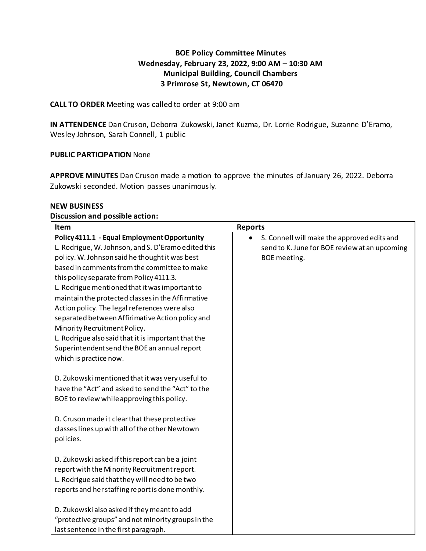# **BOE Policy Committee Minutes Wednesday, February 23, 2022, 9:00 AM – 10:30 AM Municipal Building, Council Chambers 3 Primrose St, Newtown, CT 06470**

## **CALL TO ORDER** Meeting was called to order at 9:00 am

**IN ATTENDENCE** Dan Cruson, Deborra Zukowski, Janet Kuzma, Dr. Lorrie Rodrigue, Suzanne D'Eramo, Wesley Johnson, Sarah Connell, 1 public

### **PUBLIC PARTICIPATION** None

**APPROVE MINUTES** Dan Cruson made a motion to approve the minutes of January 26, 2022. Deborra Zukowski seconded. Motion passes unanimously.

#### **NEW BUSINESS**

#### **Discussion and possible action:**

| Item                                                                                                                                                                                                                                                                                                                                                                                                                                                                                                                                                                                                 | <b>Reports</b>                                                                                               |
|------------------------------------------------------------------------------------------------------------------------------------------------------------------------------------------------------------------------------------------------------------------------------------------------------------------------------------------------------------------------------------------------------------------------------------------------------------------------------------------------------------------------------------------------------------------------------------------------------|--------------------------------------------------------------------------------------------------------------|
| Policy 4111.1 - Equal Employment Opportunity<br>L. Rodrigue, W. Johnson, and S. D'Eramo edited this<br>policy. W. Johnson said he thought it was best<br>based in comments from the committee to make<br>this policy separate from Policy 4111.3.<br>L. Rodrigue mentioned that it was important to<br>maintain the protected classes in the Affirmative<br>Action policy. The legal references were also<br>separated between Affirimative Action policy and<br>Minority Recruitment Policy.<br>L. Rodrigue also said that it is important that the<br>Superintendent send the BOE an annual report | S. Connell will make the approved edits and<br>send to K. June for BOE review at an upcoming<br>BOE meeting. |
| which is practice now.<br>D. Zukowski mentioned that it was very useful to<br>have the "Act" and asked to send the "Act" to the<br>BOE to review while approving this policy.<br>D. Cruson made it clear that these protective<br>classes lines up with all of the other Newtown<br>policies.                                                                                                                                                                                                                                                                                                        |                                                                                                              |
| D. Zukowski asked if this report can be a joint<br>report with the Minority Recruitment report.<br>L. Rodrigue said that they will need to be two<br>reports and her staffing report is done monthly.<br>D. Zukowski also asked if they meant to add<br>"protective groups" and not minority groups in the<br>last sentence in the first paragraph.                                                                                                                                                                                                                                                  |                                                                                                              |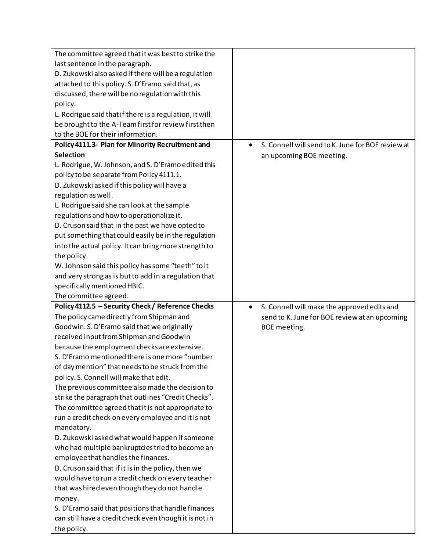| The committee agreed that it was best to strike the                                            |                                                                |
|------------------------------------------------------------------------------------------------|----------------------------------------------------------------|
| last sentence in the paragraph.                                                                |                                                                |
| D. Zukowski also asked if there will be a regulation                                           |                                                                |
| attached to this policy. S. D'Eramo said that, as                                              |                                                                |
| discussed, there will be no regulation with this                                               |                                                                |
| policy.                                                                                        |                                                                |
| L. Rodrigue said that if there is a regulation, it will                                        |                                                                |
| be brought to the A-Team first for review first then                                           |                                                                |
| to the BOE for their information.                                                              |                                                                |
| Policy 4111.3- Plan for Minority Recruitment and                                               | S. Connell will send to K. June for BOE review at<br>$\bullet$ |
| <b>Selection</b>                                                                               | an upcoming BOE meeting.                                       |
| L. Rodrigue, W. Johnson, and S. D'Eramo edited this                                            |                                                                |
| policy to be separate from Policy 4111.1.                                                      |                                                                |
| D. Zukowski asked if this policy will have a                                                   |                                                                |
| regulation as well.                                                                            |                                                                |
| L. Rodrigue said she can look at the sample                                                    |                                                                |
| regulations and how to operationalize it.                                                      |                                                                |
| D. Cruson said that in the past we have opted to                                               |                                                                |
| put something that could easily be in the regulation                                           |                                                                |
| into the actual policy. It can bring more strength to                                          |                                                                |
| the policy.                                                                                    |                                                                |
| W. Johnson said this policy has some "teeth" to it                                             |                                                                |
| and very strong as is but to add in a regulation that                                          |                                                                |
| specifically mentioned HBIC.                                                                   |                                                                |
|                                                                                                |                                                                |
| The committee agreed.                                                                          |                                                                |
|                                                                                                | $\bullet$                                                      |
| Policy 4112.5 - Security Check / Reference Checks<br>The policy came directly from Shipman and | S. Connell will make the approved edits and                    |
|                                                                                                | send to K. June for BOE review at an upcoming                  |
| Goodwin. S. D'Eramo said that we originally                                                    | BOE meeting.                                                   |
| received input from Shipman and Goodwin                                                        |                                                                |
| because the employment checks are extensive.<br>S. D'Eramo mentioned there is one more "number |                                                                |
|                                                                                                |                                                                |
| of day mention" that needs to be struck from the<br>policy. S. Connell will make that edit.    |                                                                |
|                                                                                                |                                                                |
| The previous committee also made the decision to                                               |                                                                |
| strike the paragraph that outlines "Credit Checks".                                            |                                                                |
| The committee agreed that it is not appropriate to                                             |                                                                |
| run a credit check on every employee and it is not                                             |                                                                |
| mandatory.                                                                                     |                                                                |
| D. Zukowski asked what would happen if someone                                                 |                                                                |
| who had multiple bankruptcies tried to become an<br>employee that handles the finances.        |                                                                |
|                                                                                                |                                                                |
| D. Cruson said that if it is in the policy, then we                                            |                                                                |
| would have to run a credit check on every teacher                                              |                                                                |
| that was hired even though they do not handle                                                  |                                                                |
| money.                                                                                         |                                                                |
| S. D'Eramo said that positions that handle finances                                            |                                                                |
| can still have a credit check even though it is not in<br>the policy.                          |                                                                |